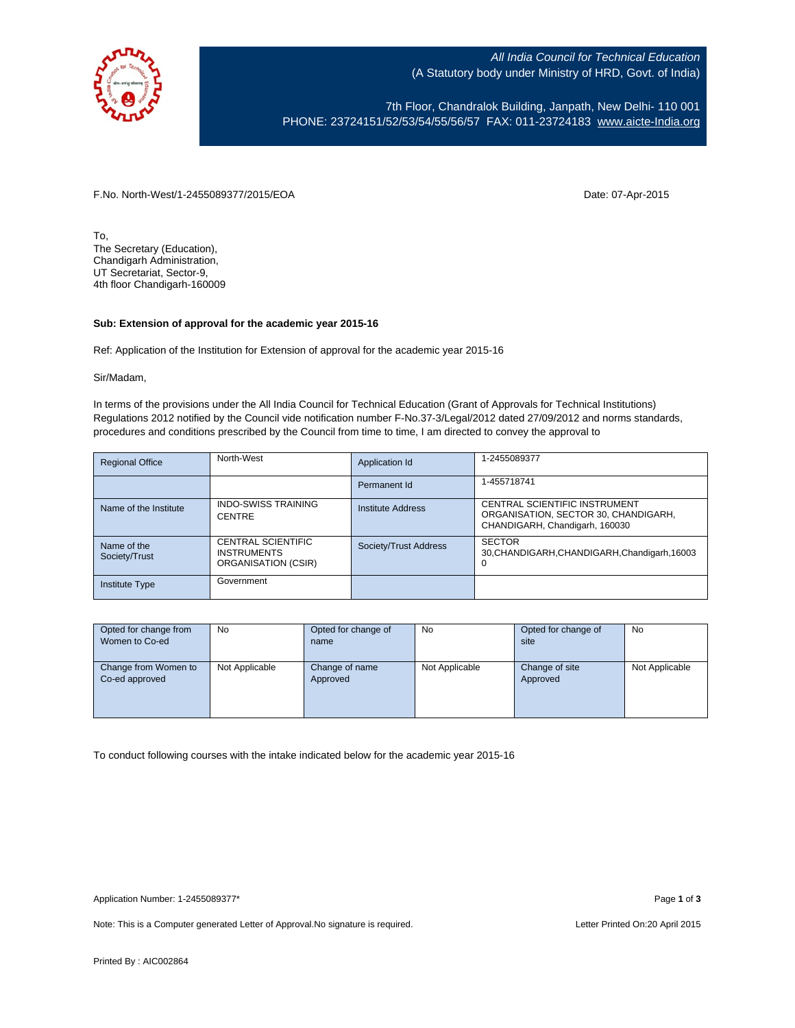

All India Council for Technical Education (A Statutory body under Ministry of HRD, Govt. of India)

7th Floor, Chandralok Building, Janpath, New Delhi- 110 001 PHONE: 23724151/52/53/54/55/56/57 FAX: 011-23724183 [www.aicte-India.org](http://www.aicte-india.org/)

F.No. North-West/1-2455089377/2015/EOA Date: 07-Apr-2015

To, The Secretary (Education), Chandigarh Administration, UT Secretariat, Sector-9, 4th floor Chandigarh-160009

## **Sub: Extension of approval for the academic year 2015-16**

Ref: Application of the Institution for Extension of approval for the academic year 2015-16

Sir/Madam,

In terms of the provisions under the All India Council for Technical Education (Grant of Approvals for Technical Institutions) Regulations 2012 notified by the Council vide notification number F-No.37-3/Legal/2012 dated 27/09/2012 and norms standards, procedures and conditions prescribed by the Council from time to time, I am directed to convey the approval to

| <b>Regional Office</b>       | North-West                                                             | Application Id           | 1-2455089377                                                                                            |
|------------------------------|------------------------------------------------------------------------|--------------------------|---------------------------------------------------------------------------------------------------------|
|                              |                                                                        | Permanent Id             | 1-455718741                                                                                             |
| Name of the Institute        | <b>INDO-SWISS TRAINING</b><br><b>CENTRE</b>                            | <b>Institute Address</b> | CENTRAL SCIENTIFIC INSTRUMENT<br>ORGANISATION, SECTOR 30, CHANDIGARH,<br>CHANDIGARH, Chandigarh, 160030 |
| Name of the<br>Society/Trust | <b>CENTRAL SCIENTIFIC</b><br><b>INSTRUMENTS</b><br>ORGANISATION (CSIR) | Society/Trust Address    | <b>SECTOR</b><br>30, CHANDIGARH, CHANDIGARH, Chandigarh, 16003<br>U                                     |
| <b>Institute Type</b>        | Government                                                             |                          |                                                                                                         |

| Opted for change from | <b>No</b>      | Opted for change of | <b>No</b>      | Opted for change of | <b>No</b>      |
|-----------------------|----------------|---------------------|----------------|---------------------|----------------|
| Women to Co-ed        |                | name                |                | site                |                |
|                       |                |                     |                |                     |                |
| Change from Women to  | Not Applicable | Change of name      | Not Applicable | Change of site      | Not Applicable |
| Co-ed approved        |                | Approved            |                | Approved            |                |
|                       |                |                     |                |                     |                |
|                       |                |                     |                |                     |                |
|                       |                |                     |                |                     |                |

To conduct following courses with the intake indicated below for the academic year 2015-16

Note: This is a Computer generated Letter of Approval. No signature is required. Letter Printed On:20 April 2015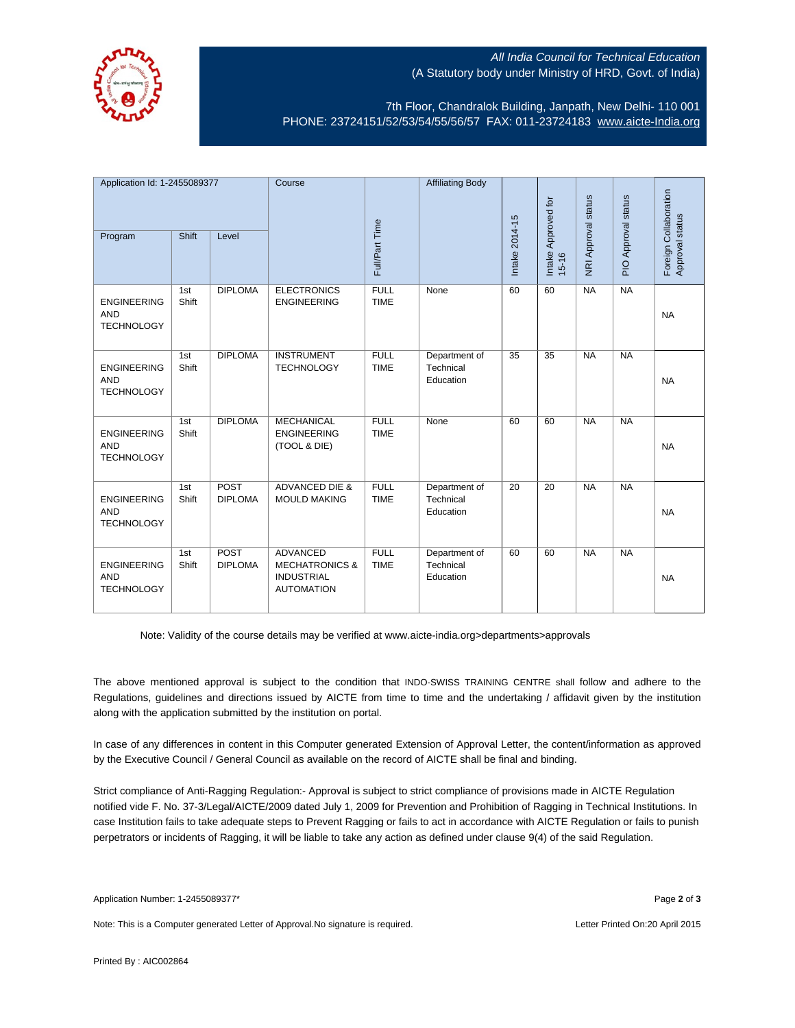

## All India Council for Technical Education (A Statutory body under Ministry of HRD, Govt. of India)

7th Floor, Chandralok Building, Janpath, New Delhi- 110 001 PHONE: 23724151/52/53/54/55/56/57 FAX: 011-23724183 [www.aicte-India.org](http://www.aicte-india.org/)

| Application Id: 1-2455089377                          |              | Course                 |                                                                                        | <b>Affiliating Body</b>    |                                         |                 |                                  |                     |                     |                                          |
|-------------------------------------------------------|--------------|------------------------|----------------------------------------------------------------------------------------|----------------------------|-----------------------------------------|-----------------|----------------------------------|---------------------|---------------------|------------------------------------------|
| Program                                               | Shift        | Level                  |                                                                                        | Full/Part Time             |                                         | Intake 2014-15  | Intake Approved for<br>$15 - 16$ | NRI Approval status | PIO Approval status | Foreign Collaboration<br>Approval status |
| <b>ENGINEERING</b><br><b>AND</b><br><b>TECHNOLOGY</b> | 1st<br>Shift | <b>DIPLOMA</b>         | <b>ELECTRONICS</b><br><b>ENGINEERING</b>                                               | <b>FULL</b><br><b>TIME</b> | None                                    | 60              | 60                               | <b>NA</b>           | NA                  | <b>NA</b>                                |
| <b>ENGINEERING</b><br><b>AND</b><br><b>TECHNOLOGY</b> | 1st<br>Shift | <b>DIPLOMA</b>         | <b>INSTRUMENT</b><br><b>TECHNOLOGY</b>                                                 | <b>FULL</b><br><b>TIME</b> | Department of<br>Technical<br>Education | $\overline{35}$ | $\overline{35}$                  | NA                  | NA                  | <b>NA</b>                                |
| <b>ENGINEERING</b><br><b>AND</b><br><b>TECHNOLOGY</b> | 1st<br>Shift | <b>DIPLOMA</b>         | <b>MECHANICAL</b><br><b>ENGINEERING</b><br>(TOOL & DIE)                                | <b>FULL</b><br><b>TIME</b> | None                                    | 60              | 60                               | <b>NA</b>           | <b>NA</b>           | <b>NA</b>                                |
| <b>ENGINEERING</b><br><b>AND</b><br><b>TECHNOLOGY</b> | 1st<br>Shift | POST<br><b>DIPLOMA</b> | <b>ADVANCED DIE &amp;</b><br><b>MOULD MAKING</b>                                       | <b>FULL</b><br><b>TIME</b> | Department of<br>Technical<br>Education | 20              | 20                               | <b>NA</b>           | <b>NA</b>           | <b>NA</b>                                |
| <b>ENGINEERING</b><br><b>AND</b><br><b>TECHNOLOGY</b> | 1st<br>Shift | POST<br><b>DIPLOMA</b> | <b>ADVANCED</b><br><b>MECHATRONICS &amp;</b><br><b>INDUSTRIAL</b><br><b>AUTOMATION</b> | <b>FULL</b><br><b>TIME</b> | Department of<br>Technical<br>Education | 60              | 60                               | N <sub>A</sub>      | NA                  | <b>NA</b>                                |

Note: Validity of the course details may be verified at www.aicte-india.org>departments>approvals

The above mentioned approval is subject to the condition that INDO-SWISS TRAINING CENTRE shall follow and adhere to the Regulations, guidelines and directions issued by AICTE from time to time and the undertaking / affidavit given by the institution along with the application submitted by the institution on portal.

In case of any differences in content in this Computer generated Extension of Approval Letter, the content/information as approved by the Executive Council / General Council as available on the record of AICTE shall be final and binding.

Strict compliance of Anti-Ragging Regulation:- Approval is subject to strict compliance of provisions made in AICTE Regulation notified vide F. No. 37-3/Legal/AICTE/2009 dated July 1, 2009 for Prevention and Prohibition of Ragging in Technical Institutions. In case Institution fails to take adequate steps to Prevent Ragging or fails to act in accordance with AICTE Regulation or fails to punish perpetrators or incidents of Ragging, it will be liable to take any action as defined under clause 9(4) of the said Regulation.

Note: This is a Computer generated Letter of Approval.No signature is required. Letter According the state of Approval.No signature is required.